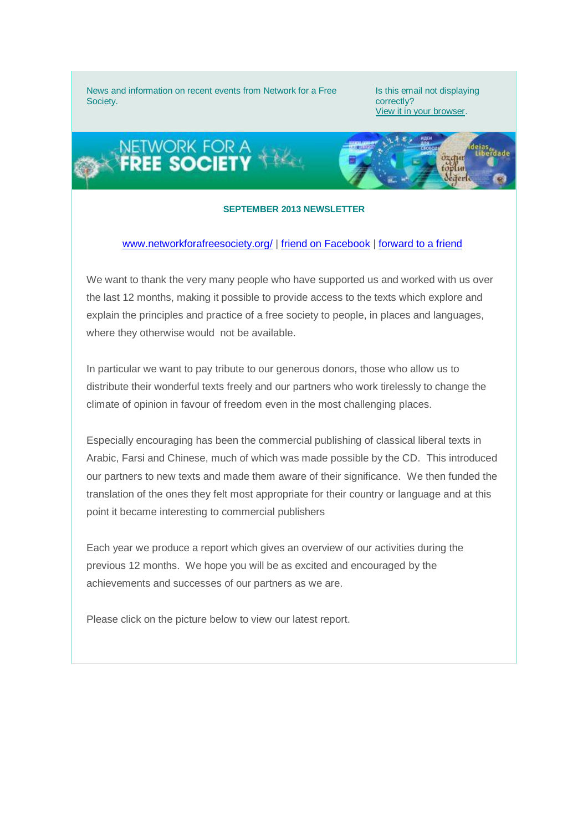News and information on recent events from Network for a Free Society.

Is this email not displaying correctly? [View it in your browser.](http://us6.campaign-archive2.com/?u=a9097c21dbf4b971a3ab947cf&id=8fb4e7079f&e=0aec893c4e)



## **SEPTEMBER 2013 NEWSLETTER**

## [www.networkforafreesociety.org/](http://networkforafreesociety.us6.list-manage.com/track/click?u=a9097c21dbf4b971a3ab947cf&id=1ca93c7bad&e=0aec893c4e) | friend on Facebook | [forward to a friend](http://networkforafreesociety.us6.list-manage.com/track/click?u=a9097c21dbf4b971a3ab947cf&id=ed8bae4b75&e=0aec893c4e)

We want to thank the very many people who have supported us and worked with us over the last 12 months, making it possible to provide access to the texts which explore and explain the principles and practice of a free society to people, in places and languages, where they otherwise would not be available.

In particular we want to pay tribute to our generous donors, those who allow us to distribute their wonderful texts freely and our partners who work tirelessly to change the climate of opinion in favour of freedom even in the most challenging places.

Especially encouraging has been the commercial publishing of classical liberal texts in Arabic, Farsi and Chinese, much of which was made possible by the CD. This introduced our partners to new texts and made them aware of their significance. We then funded the translation of the ones they felt most appropriate for their country or language and at this point it became interesting to commercial publishers

Each year we produce a report which gives an overview of our activities during the previous 12 months. We hope you will be as excited and encouraged by the achievements and successes of our partners as we are.

Please click on the picture below to view our latest report.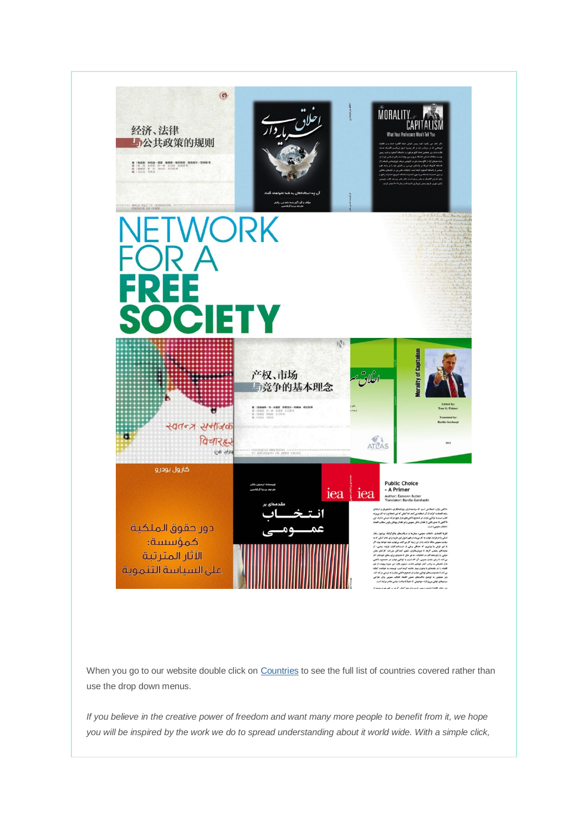

When you go to our website double click o[n Countries](http://networkforafreesociety.us6.list-manage.com/track/click?u=a9097c21dbf4b971a3ab947cf&id=bae17bc347&e=0aec893c4e) to see the full list of countries covered rather than use the drop down menus.

*If you believe in the creative power of freedom and want many more people to benefit from it, we hope you will be inspired by the work we do to spread understanding about it world wide. With a simple click,*